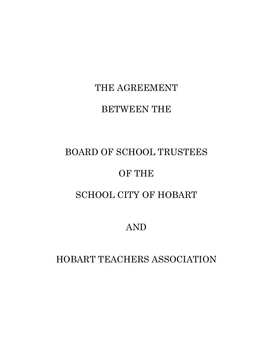# THE AGREEMENT

### BETWEEN THE

## BOARD OF SCHOOL TRUSTEES

### OF THE

### SCHOOL CITY OF HOBART

### AND

### HOBART TEACHERS ASSOCIATION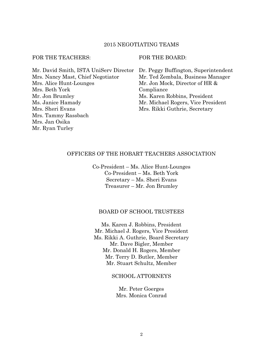#### 2015 NEGOTIATING TEAMS

#### FOR THE TEACHERS: FOR THE BOARD:

Mr. Ryan Turley

| Mr. David Smith, ISTA UniServ Director | Dr. Peggy Buffington, Superintendent |
|----------------------------------------|--------------------------------------|
| Mrs. Nancy Mast, Chief Negotiator      | Mr. Ted Zembala, Business Manager    |
| Mrs. Alice Hunt-Lounges                | Mr. Jon Mock, Director of HR &       |
| Mrs. Beth York                         | Compliance                           |
| Mr. Jon Brumley                        | Ms. Karen Robbins, President         |
| Ms. Janice Hamady                      | Mr. Michael Rogers, Vice President   |
| Mrs. Sheri Evans                       | Mrs. Rikki Guthrie, Secretary        |
| Mrs. Tammy Rassbach                    |                                      |
| Mrs. Jan Osika                         |                                      |

#### OFFICERS OF THE HOBART TEACHERS ASSOCIATION

Co-President – Ms. Alice Hunt-Lounges Co-President – Ms. Beth York Secretary – Ms. Sheri Evans Treasurer – Mr. Jon Brumley

#### BOARD OF SCHOOL TRUSTEES

Ms. Karen J. Robbins, President Mr. Michael J. Rogers, Vice President Ms. Rikki A. Guthrie, Board Secretary Mr. Dave Bigler, Member Mr. Donald H. Rogers, Member Mr. Terry D. Butler, Member Mr. Stuart Schultz, Member

#### SCHOOL ATTORNEYS

Mr. Peter Goerges Mrs. Monica Conrad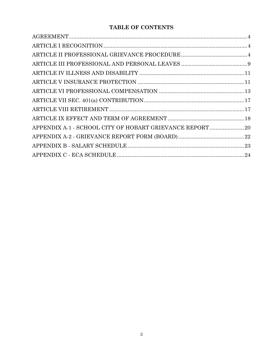#### **TABLE OF CONTENTS**

| APPENDIX A-1 - SCHOOL CITY OF HOBART GRIEVANCE REPORT 20 |  |
|----------------------------------------------------------|--|
|                                                          |  |
|                                                          |  |
|                                                          |  |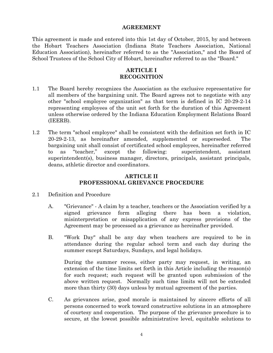#### **AGREEMENT**

This agreement is made and entered into this 1st day of October, 2015, by and between the Hobart Teachers Association (Indiana State Teachers Association, National Education Association), hereinafter referred to as the "Association," and the Board of School Trustees of the School City of Hobart, hereinafter referred to as the "Board."

#### **ARTICLE I RECOGNITION**

- 1.1 The Board hereby recognizes the Association as the exclusive representative for all members of the bargaining unit. The Board agrees not to negotiate with any other "school employee organization" as that term is defined in IC 20-29-2-14 representing employees of the unit set forth for the duration of this Agreement unless otherwise ordered by the Indiana Education Employment Relations Board (IEERB).
- 1.2 The term "school employee" shall be consistent with the definition set forth in IC 20-29-2-13, as hereinafter amended, supplemented or superseded. The bargaining unit shall consist of certificated school employees, hereinafter referred to as "teacher," except the following: superintendent, assistant superintendent(s), business manager, directors, principals, assistant principals, deans, athletic director and coordinators.

#### **ARTICLE II PROFESSIONAL GRIEVANCE PROCEDURE**

- 2.1 Definition and Procedure
	- A. "Grievance" A claim by a teacher, teachers or the Association verified by a signed grievance form alleging there has been a violation, misinterpretation or misapplication of any express provisions of the Agreement may be processed as a grievance as hereinafter provided.
	- B. "Work Day" shall be any day when teachers are required to be in attendance during the regular school term and each day during the summer except Saturdays, Sundays, and legal holidays.

During the summer recess, either party may request, in writing, an extension of the time limits set forth in this Article including the reason(s) for such request; such request will be granted upon submission of the above written request. Normally such time limits will not be extended more than thirty (30) days unless by mutual agreement of the parties.

C. As grievances arise, good morale is maintained by sincere efforts of all persons concerned to work toward constructive solutions in an atmosphere of courtesy and cooperation. The purpose of the grievance procedure is to secure, at the lowest possible administrative level, equitable solutions to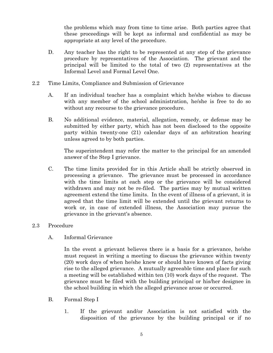the problems which may from time to time arise. Both parties agree that these proceedings will be kept as informal and confidential as may be appropriate at any level of the procedure.

- D. Any teacher has the right to be represented at any step of the grievance procedure by representatives of the Association. The grievant and the principal will be limited to the total of two (2) representatives at the Informal Level and Formal Level One.
- 2.2 Time Limits, Compliance and Submission of Grievance
	- A. If an individual teacher has a complaint which he/she wishes to discuss with any member of the school administration, he/she is free to do so without any recourse to the grievance procedure.
	- B. No additional evidence, material, allegation, remedy, or defense may be submitted by either party, which has not been disclosed to the opposite party within twenty-one (21) calendar days of an arbitration hearing unless agreed to by both parties.

The superintendent may refer the matter to the principal for an amended answer of the Step I grievance.

C. The time limits provided for in this Article shall be strictly observed in processing a grievance. The grievance must be processed in accordance with the time limits at each step or the grievance will be considered withdrawn and may not be re-filed. The parties may by mutual written agreement extend the time limits. In the event of illness of a grievant, it is agreed that the time limit will be extended until the grievant returns to work or, in case of extended illness, the Association may pursue the grievance in the grievant's absence.

#### 2.3 Procedure

A. Informal Grievance

In the event a grievant believes there is a basis for a grievance, he/she must request in writing a meeting to discuss the grievance within twenty (20) work days of when he/she knew or should have known of facts giving rise to the alleged grievance. A mutually agreeable time and place for such a meeting will be established within ten (10) work days of the request. The grievance must be filed with the building principal or his/her designee in the school building in which the alleged grievance arose or occurred.

- B. Formal Step I
	- 1. If the grievant and/or Association is not satisfied with the disposition of the grievance by the building principal or if no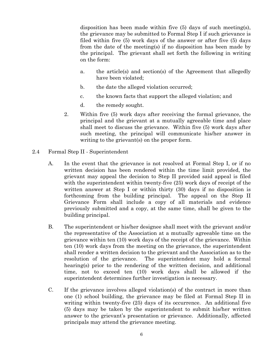disposition has been made within five (5) days of such meeting(s), the grievance may be submitted to Formal Step I if such grievance is filed within five (5) work days of the answer or after five (5) days from the date of the meeting(s) if no disposition has been made by the principal. The grievant shall set forth the following in writing on the form:

- a. the article(s) and section(s) of the Agreement that allegedly have been violated;
- b. the date the alleged violation occurred;
- c. the known facts that support the alleged violation; and
- d. the remedy sought.
- 2. Within five (5) work days after receiving the formal grievance, the principal and the grievant at a mutually agreeable time and place shall meet to discuss the grievance. Within five (5) work days after such meeting, the principal will communicate his/her answer in writing to the grievant(s) on the proper form.
- 2.4 Formal Step II Superintendent
	- A. In the event that the grievance is not resolved at Formal Step I, or if no written decision has been rendered within the time limit provided, the grievant may appeal the decision to Step II provided said appeal is filed with the superintendent within twenty-five (25) work days of receipt of the written answer at Step I or within thirty (30) days if no disposition is forthcoming from the building principal. The appeal on the Step II Grievance Form shall include a copy of all materials and evidence previously submitted and a copy, at the same time, shall be given to the building principal.
	- B. The superintendent or his/her designee shall meet with the grievant and/or the representative of the Association at a mutually agreeable time on the grievance within ten (10) work days of the receipt of the grievance. Within ten (10) work days from the meeting on the grievance, the superintendent shall render a written decision to the grievant and the Association as to the resolution of the grievance. The superintendent may hold a formal hearing(s) prior to the rendering of the written decision, and additional time, not to exceed ten (10) work days shall be allowed if the superintendent determines further investigation is necessary.
	- C. If the grievance involves alleged violation(s) of the contract in more than one (1) school building, the grievance may be filed at Formal Step II in writing within twenty-five (25) days of its occurrence. An additional five (5) days may be taken by the superintendent to submit his/her written answer to the grievant's presentation or grievance. Additionally, affected principals may attend the grievance meeting.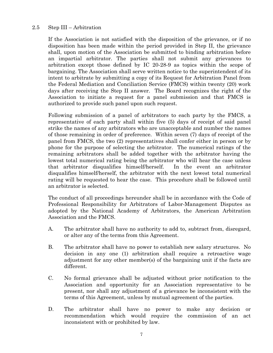#### 2.5 Step III – Arbitration

If the Association is not satisfied with the disposition of the grievance, or if no disposition has been made within the period provided in Step II, the grievance shall, upon motion of the Association be submitted to binding arbitration before an impartial arbitrator. The parties shall not submit any grievances to arbitration except those defined by IC 20-28-9 as topics within the scope of bargaining. The Association shall serve written notice to the superintendent of its intent to arbitrate by submitting a copy of its Request for Arbitration Panel from the Federal Mediation and Conciliation Service (FMCS) within twenty (20) work days after receiving the Step II answer. The Board recognizes the right of the Association to initiate a request for a panel submission and that FMCS is authorized to provide such panel upon such request.

Following submission of a panel of arbitrators to each party by the FMCS, a representative of each party shall within five (5) days of receipt of said panel strike the names of any arbitrators who are unacceptable and number the names of those remaining in order of preference. Within seven (7) days of receipt of the panel from FMCS, the two (2) representatives shall confer either in person or by phone for the purpose of selecting the arbitrator. The numerical ratings of the remaining arbitrators shall be added together with the arbitrator having the lowest total numerical rating being the arbitrator who will hear the case unless that arbitrator disqualifies himself/herself. In the event an arbitrator disqualifies himself/herself, the arbitrator with the next lowest total numerical rating will be requested to hear the case. This procedure shall be followed until an arbitrator is selected.

The conduct of all proceedings hereunder shall be in accordance with the Code of Professional Responsibility for Arbitrators of Labor-Management Disputes as adopted by the National Academy of Arbitrators, the American Arbitration Association and the FMCS.

- A. The arbitrator shall have no authority to add to, subtract from, disregard, or alter any of the terms from this Agreement.
- B. The arbitrator shall have no power to establish new salary structures. No decision in any one (1) arbitration shall require a retroactive wage adjustment for any other member(s) of the bargaining unit if the facts are different.
- C. No formal grievance shall be adjusted without prior notification to the Association and opportunity for an Association representative to be present, nor shall any adjustment of a grievance be inconsistent with the terms of this Agreement, unless by mutual agreement of the parties.
- D. The arbitrator shall have no power to make any decision or recommendation which would require the commission of an act inconsistent with or prohibited by law.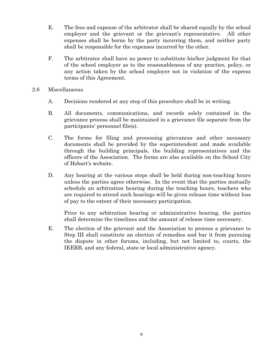- E. The fees and expense of the arbitrator shall be shared equally by the school employer and the grievant or the grievant's representative. All other expenses shall be borne by the party incurring them, and neither party shall be responsible for the expenses incurred by the other.
- F. The arbitrator shall have no power to substitute his/her judgment for that of the school employer as to the reasonableness of any practice, policy, or any action taken by the school employer not in violation of the express terms of this Agreement.
- 2.6 Miscellaneous
	- A. Decisions rendered at any step of this procedure shall be in writing.
	- B. All documents, communications, and records solely contained in the grievance process shall be maintained in a grievance file separate from the participants' personnel file(s).
	- C. The forms for filing and processing grievances and other necessary documents shall be provided by the superintendent and made available through the building principals, the building representatives and the officers of the Association. The forms are also available on the School City of Hobart's website.
	- D. Any hearing at the various steps shall be held during non-teaching hours unless the parties agree otherwise. In the event that the parties mutually schedule an arbitration hearing during the teaching hours, teachers who are required to attend such hearings will be given release time without loss of pay to the extent of their necessary participation.

Prior to any arbitration hearing or administrative hearing, the parties shall determine the timelines and the amount of release time necessary.

E. The election of the grievant and the Association to process a grievance to Step III shall constitute an election of remedies and bar it from pursuing the dispute in other forums, including, but not limited to, courts, the IEERB, and any federal, state or local administrative agency.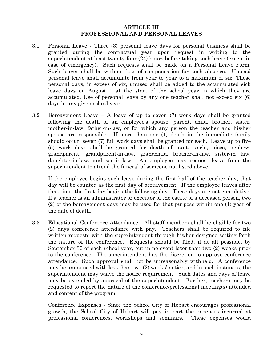#### **ARTICLE III PROFESSIONAL AND PERSONAL LEAVES**

- 3.1 Personal Leave Three (3) personal leave days for personal business shall be granted during the contractual year upon request in writing to the superintendent at least twenty-four (24) hours before taking such leave (except in case of emergency). Such requests shall be made on a Personal Leave Form. Such leaves shall be without loss of compensation for such absence. Unused personal leave shall accumulate from year to year to a maximum of six. Those personal days, in excess of six, unused shall be added to the accumulated sick leave days on August 1 at the start of the school year in which they are accumulated. Use of personal leave by any one teacher shall not exceed six (6) days in any given school year.
- 3.2 Bereavement Leave A leave of up to seven (7) work days shall be granted following the death of an employee's spouse, parent, child, brother, sister, mother-in-law, father-in-law, or for which any person the teacher and his/her spouse are responsible. If more than one (1) death in the immediate family should occur, seven (7) full work days shall be granted for each. Leave up to five (5) work days shall be granted for death of aunt, uncle, niece, nephew, grandparent, grandparent-in-law, grandchild, brother-in-law, sister-in law, daughter-in-law, and son-in-law. An employee may request leave from the superintendent to attend the funeral of someone not listed above.

If the employee begins such leave during the first half of the teacher day, that day will be counted as the first day of bereavement. If the employee leaves after that time, the first day begins the following day. These days are not cumulative. If a teacher is an administrator or executor of the estate of a deceased person, two (2) of the bereavement days may be used for that purpose within one (1) year of the date of death.

3.3 Educational Conference Attendance - All staff members shall be eligible for two (2) days conference attendance with pay. Teachers shall be required to file written requests with the superintendent through his/her designee setting forth the nature of the conference. Requests should be filed, if at all possible, by September 30 of each school year, but in no event later than two (2) weeks prior to the conference. The superintendent has the discretion to approve conference attendance. Such approval shall not be unreasonably withheld. A conference may be announced with less than two (2) weeks' notice; and in such instances, the superintendent may waive the notice requirement. Such dates and days of leave may be extended by approval of the superintendent. Further, teachers may be requested to report the nature of the conference/professional meeting(s) attended and content of the program.

Conference Expenses - Since the School City of Hobart encourages professional growth, the School City of Hobart will pay in part the expenses incurred at professional conferences, workshops and seminars. These expenses would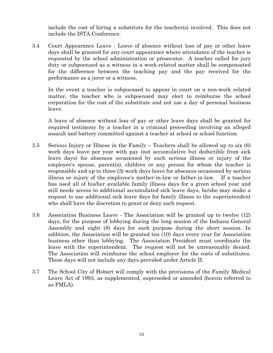include the cost of hiring a substitute for the teacher(s) involved. This does not include the ISTA Conference.

3.4 Court Appearance Leave - Leave of absence without loss of pay or other leave days shall be granted for any court appearance where attendance of the teacher is requested by the school administration or prosecutor. A teacher called for jury duty or subpoenaed as a witness in a work-related matter shall be compensated for the difference between the teaching pay and the pay received for the performance as a juror or a witness.

In the event a teacher is subpoenaed to appear in court on a non-work related matter, the teacher who is subpoenaed may elect to reimburse the school corporation for the cost of the substitute and not use a day of personal business leave.

A leave of absence without loss of pay or other leave days shall be granted for required testimony by a teacher in a criminal proceeding involving an alleged assault and battery committed against a teacher at school or school function.

- 3.5 Serious Injury or Illness in the Family Teachers shall be allowed up to six (6) work days leave per year with pay (not accumulative but deductible from sick leave days) for absences occasioned by such serious illness or injury of the employee's spouse, parent(s), children or any person for whom the teacher is responsible and up to three (3) work days leave for absences occasioned by serious illness or injury of the employee's mother-in-law or father-in-law. If a teacher has used all of his/her available family illness days for a given school year and still needs access to additional accumulated sick leave days, he/she may make a request to use additional sick leave days for family illness to the superintendent who shall have the discretion to grant or deny such request.
- 3.6 Association Business Leave The Association will be granted up to twelve (12) days, for the purpose of lobbying during the long session of the Indiana General Assembly and eight (8) days for such purpose during the short session. In addition, the Association will be granted ten (10) days every year for Association business other than lobbying. The Association President must coordinate the leave with the superintendent. The request will not be unreasonably denied. The Association will reimburse the school employer for the costs of substitutes. These days will not include any days provided under Article II.
- 3.7 The School City of Hobart will comply with the provisions of the Family Medical Leave Act of 1993, as supplemented, superseded or amended (herein referred to as FMLA).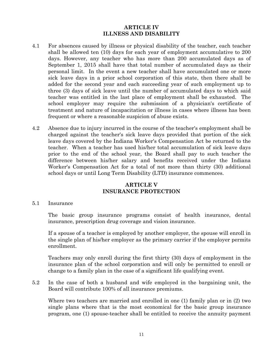#### **ARTICLE IV ILLNESS AND DISABILITY**

- 4.1 For absences caused by illness or physical disability of the teacher, each teacher shall be allowed ten (10) days for each year of employment accumulative to 200 days. However, any teacher who has more than 200 accumulated days as of September 1, 2015 shall have that total number of accumulated days as their personal limit. In the event a new teacher shall have accumulated one or more sick leave days in a prior school corporation of this state, then there shall be added for the second year and each succeeding year of such employment up to three (3) days of sick leave until the number of accumulated days to which said teacher was entitled in the last place of employment shall be exhausted. The school employer may require the submission of a physician's certificate of treatment and nature of incapacitation or illness in cases where illness has been frequent or where a reasonable suspicion of abuse exists.
- 4.2 Absence due to injury incurred in the course of the teacher's employment shall be charged against the teacher's sick leave days provided that portion of the sick leave days covered by the Indiana Worker's Compensation Act be returned to the teacher. When a teacher has used his/her total accumulation of sick leave days prior to the end of the school year, the Board shall pay to such teacher the difference between his/her salary and benefits received under the Indiana Worker's Compensation Act for a total of not more than thirty (30) additional school days or until Long Term Disability (LTD) insurance commences.

#### **ARTICLE V INSURANCE PROTECTION**

#### 5.1 Insurance

The basic group insurance programs consist of health insurance, dental insurance, prescription drug coverage and vision insurance.

If a spouse of a teacher is employed by another employer, the spouse will enroll in the single plan of his/her employer as the primary carrier if the employer permits enrollment.

Teachers may only enroll during the first thirty (30) days of employment in the insurance plan of the school corporation and will only be permitted to enroll or change to a family plan in the case of a significant life qualifying event.

5.2 In the case of both a husband and wife employed in the bargaining unit, the Board will contribute 100% of all insurance premiums.

Where two teachers are married and enrolled in one (1) family plan or in (2) two single plans where that is the most economical for the basic group insurance program, one (1) spouse-teacher shall be entitled to receive the annuity payment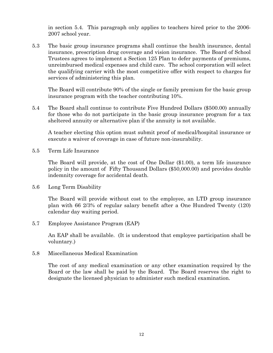in section 5.4. This paragraph only applies to teachers hired prior to the 2006- 2007 school year.

5.3 The basic group insurance programs shall continue the health insurance, dental insurance, prescription drug coverage and vision insurance. The Board of School Trustees agrees to implement a Section 125 Plan to defer payments of premiums, unreimbursed medical expenses and child care. The school corporation will select the qualifying carrier with the most competitive offer with respect to charges for services of administering this plan.

The Board will contribute 90% of the single or family premium for the basic group insurance program with the teacher contributing 10%.

5.4 The Board shall continue to contribute Five Hundred Dollars (\$500.00) annually for those who do not participate in the basic group insurance program for a tax sheltered annuity or alternative plan if the annuity is not available.

A teacher electing this option must submit proof of medical/hospital insurance or execute a waiver of coverage in case of future non-insurability.

5.5 Term Life Insurance

The Board will provide, at the cost of One Dollar (\$1.00), a term life insurance policy in the amount of Fifty Thousand Dollars (\$50,000.00) and provides double indemnity coverage for accidental death.

5.6 Long Term Disability

The Board will provide without cost to the employee, an LTD group insurance plan with 66 2/3% of regular salary benefit after a One Hundred Twenty (120) calendar day waiting period.

5.7 Employee Assistance Program (EAP)

An EAP shall be available. (It is understood that employee participation shall be voluntary.)

5.8 Miscellaneous Medical Examination

The cost of any medical examination or any other examination required by the Board or the law shall be paid by the Board. The Board reserves the right to designate the licensed physician to administer such medical examination.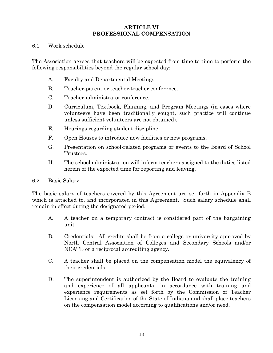#### **ARTICLE VI PROFESSIONAL COMPENSATION**

#### 6.1 Work schedule

The Association agrees that teachers will be expected from time to time to perform the following responsibilities beyond the regular school day:

- A. Faculty and Departmental Meetings.
- B. Teacher-parent or teacher-teacher conference.
- C. Teacher-administrator conference.
- D. Curriculum, Textbook, Planning, and Program Meetings (in cases where volunteers have been traditionally sought, such practice will continue unless sufficient volunteers are not obtained).
- E. Hearings regarding student discipline.
- F. Open Houses to introduce new facilities or new programs.
- G. Presentation on school-related programs or events to the Board of School Trustees.
- H. The school administration will inform teachers assigned to the duties listed herein of the expected time for reporting and leaving.

#### 6.2 Basic Salary

The basic salary of teachers covered by this Agreement are set forth in Appendix B which is attached to, and incorporated in this Agreement. Such salary schedule shall remain in effect during the designated period.

- A. A teacher on a temporary contract is considered part of the bargaining unit.
- B. Credentials: All credits shall be from a college or university approved by North Central Association of Colleges and Secondary Schools and/or NCATE or a reciprocal accrediting agency.
- C. A teacher shall be placed on the compensation model the equivalency of their credentials.
- D. The superintendent is authorized by the Board to evaluate the training and experience of all applicants, in accordance with training and experience requirements as set forth by the Commission of Teacher Licensing and Certification of the State of Indiana and shall place teachers on the compensation model according to qualifications and/or need.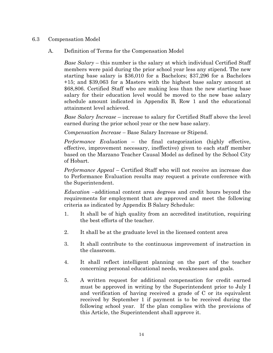#### 6.3 Compensation Model

A. Definition of Terms for the Compensation Model

*Base Salary* – this number is the salary at which individual Certified Staff members were paid during the prior school year less any stipend. The new starting base salary is \$36,010 for a Bachelors; \$37,296 for a Bachelors +15; and \$39,063 for a Masters with the highest base salary amount at \$68,806. Certified Staff who are making less than the new starting base salary for their education level would be moved to the new base salary schedule amount indicated in Appendix B, Row 1 and the educational attainment level achieved.

*Base Salary Increase* – increase to salary for Certified Staff above the level earned during the prior school year or the new base salary.

*Compensation Increase* – Base Salary Increase or Stipend.

*Performance Evaluation* – the final categorization (highly effective, effective, improvement necessary, ineffective) given to each staff member based on the Marzano Teacher Causal Model as defined by the School City of Hobart.

*Performance Appeal* – Certified Staff who will not receive an increase due to Performance Evaluation results may request a private conference with the Superintendent.

*Education* –additional content area degrees and credit hours beyond the requirements for employment that are approved and meet the following criteria as indicated by Appendix B Salary Schedule:

- 1. It shall be of high quality from an accredited institution, requiring the best efforts of the teacher.
- 2. It shall be at the graduate level in the licensed content area
- 3. It shall contribute to the continuous improvement of instruction in the classroom.
- 4. It shall reflect intelligent planning on the part of the teacher concerning personal educational needs, weaknesses and goals.
- 5. A written request for additional compensation for credit earned must be approved in writing by the Superintendent prior to July I and verification of having received a grade of C or its equivalent received by September 1 if payment is to be received during the following school year. If the plan complies with the provisions of this Article, the Superintendent shall approve it.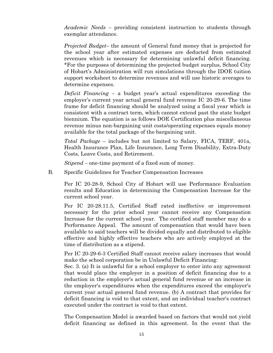*Academic Needs –* providing consistent instruction to students through exemplar attendance.

*Projected Budget*– the amount of General fund money that is projected for the school year after estimated expenses are deducted from estimated revenues which is necessary for determining unlawful deficit financing. \*For the purposes of determining the projected budget surplus, School City of Hobart's Administration will run simulations through the IDOE tuition support worksheet to determine revenues and will use historic averages to determine expenses.

*Deficit Financing –* a budget year's actual expenditures exceeding the employer's current year actual general fund revenue IC 20-29-6. The time frame for deficit financing should be analyzed using a fiscal year which is consistent with a contract term, which cannot extend past the state budget biennium. The equation is as follows DOE Certification plus miscellaneous revenue minus non-bargaining unit costs/operating expenses equals money available for the total package of the bargaining unit.

*Total Package* – includes but not limited to Salary, FICA, TERF, 401a, Health Insurance Plan, Life Insurance, Long Term Disability, Extra-Duty Costs, Leave Costs, and Retirement.

*Stipend –* one-time payment of a fixed sum of money.

B. Specific Guidelines for Teacher Compensation Increases

Per IC 20-28-9, School City of Hobart will use Performance Evaluation results and Education in determining the Compensation Increase for the current school year.

Per IC 20-28.11.5, Certified Staff rated ineffective or improvement necessary for the prior school year cannot receive any Compensation Increase for the current school year. The certified staff member may do a Performance Appeal. The amount of compensation that would have been available to said teachers will be divided equally and distributed to eligible effective and highly effective teachers who are actively employed at the time of distribution as a stipend.

Per IC 20-29-6-3 Certified Staff cannot receive salary increases that would make the school corporation be in Unlawful Deficit Financing:

Sec. 3. (a) It is unlawful for a school employer to enter into any agreement that would place the employer in a position of deficit financing due to a reduction in the employer's actual general fund revenue or an increase in the employer's expenditures when the expenditures exceed the employer's current year actual general fund revenue. (b) A contract that provides for deficit financing is void to that extent, and an individual teacher's contract executed under the contract is void to that extent.

The Compensation Model is awarded based on factors that would not yield deficit financing as defined in this agreement. In the event that the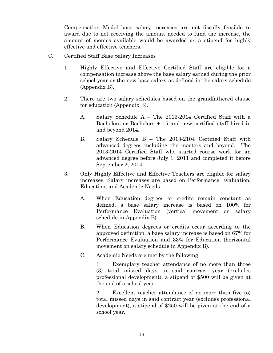Compensation Model base salary increases are not fiscally feasible to award due to not receiving the amount needed to fund the increase, the amount of monies available would be awarded as a stipend for highly effective and effective teachers.

- C. Certified Staff Base Salary Increases
	- 1. Highly Effective and Effective Certified Staff are eligible for a compensation increase above the base salary earned during the prior school year or the new base salary as defined in the salary schedule (Appendix B).
	- 2. There are two salary schedules based on the grandfathered clause for education (Appendix B).
		- A. Salary Schedule A The 2013-2014 Certified Staff with a Bachelors or Bachelors + 15 and new certified staff hired in and beyond 2014.
		- B. Salary Schedule B The 2013-2104 Certified Staff with advanced degrees including the masters and beyond. The 2013-2014 Certified Staff who started course work for an advanced degree before July 1, 2011 and completed it before September 2, 2014.
	- 3. Only Highly Effective and Effective Teachers are eligible for salary increases. Salary increases are based on Performance Evaluation, Education, and Academic Needs
		- A. When Education degrees or credits remain constant as defined, a base salary increase is based on 100% for Performance Evaluation (vertical movement on salary schedule in Appendix B).
		- B. When Education degrees or credits occur according to the approved definition, a base salary increase is based on 67% for Performance Evaluation and 33% for Education (horizontal movement on salary schedule in Appendix B).
		- C. Academic Needs are met by the following:

 1. Exemplary teacher attendance of no more than three (3) total missed days in said contract year (excludes professional development), a stipend of \$500 will be given at the end of a school year.

 2. Excellent teacher attendance of no more than five (5) total missed days in said contract year (excludes professional development), a stipend of \$250 will be given at the end of a school year.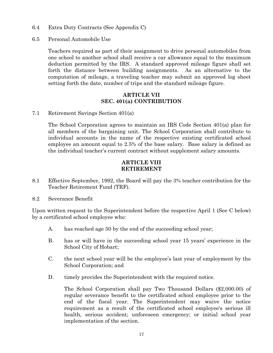- 6.4 Extra Duty Contracts (See Appendix C)
- 6.5 Personal Automobile Use

Teachers required as part of their assignment to drive personal automobiles from one school to another school shall receive a car allowance equal to the maximum deduction permitted by the IRS. A standard approved mileage figure shall set forth the distance between building assignments. As an alternative to the computation of mileage, a traveling teacher may submit an approved log sheet setting forth the date, number of trips and the standard mileage figure.

#### **ARTICLE VII SEC. 401(a) CONTRIBUTION**

7.1 Retirement Savings Section 401(a)

The School Corporation agrees to maintain an IRS Code Section 401(a) plan for all members of the bargaining unit. The School Corporation shall contribute to individual accounts in the name of the respective existing certificated school employee an amount equal to 2.5% of the base salary. Base salary is defined as the individual teacher's current contract without supplement salary amounts.

#### **ARTICLE VIII RETIREMENT**

- 8.1 Effective September, 1992, the Board will pay the 3% teacher contribution for the Teacher Retirement Fund (TRF).
- 8.2 Severance Benefit

Upon written request to the Superintendent before the respective April 1 (See C below) by a certificated school employee who:

- A. has reached age 50 by the end of the succeeding school year;
- B. has or will have in the succeeding school year 15 years' experience in the School City of Hobart;
- C. the next school year will be the employee's last year of employment by the School Corporation; and
- D. timely provides the Superintendent with the required notice.

The School Corporation shall pay Two Thousand Dollars (\$2,000.00) of regular severance benefit to the certificated school employee prior to the end of the fiscal year. The Superintendent may waive the notice requirement as a result of the certificated school employee's serious ill health, serious accident; unforeseen emergency; or initial school year implementation of the section.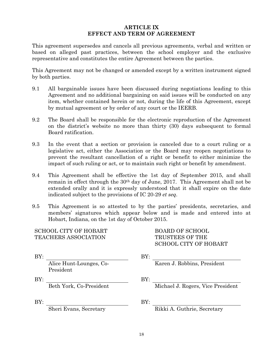#### **ARTICLE IX EFFECT AND TERM OF AGREEMENT**

This agreement supersedes and cancels all previous agreements, verbal and written or based on alleged past practices, between the school employer and the exclusive representative and constitutes the entire Agreement between the parties.

This Agreement may not be changed or amended except by a written instrument signed by both parties.

- 9.1 All bargainable issues have been discussed during negotiations leading to this Agreement and no additional bargaining on said issues will be conducted on any item, whether contained herein or not, during the life of this Agreement, except by mutual agreement or by order of any court or the IEERB.
- 9.2 The Board shall be responsible for the electronic reproduction of the Agreement on the district's website no more than thirty (30) days subsequent to formal Board ratification.
- 9.3 In the event that a section or provision is canceled due to a court ruling or a legislative act, either the Association or the Board may reopen negotiations to prevent the resultant cancellation of a right or benefit to either minimize the impact of such ruling or act, or to maintain such right or benefit by amendment.
- 9.4 This Agreement shall be effective the 1st day of September 2015, and shall remain in effect through the 30th day of June, 2017. This Agreement shall not be extended orally and it is expressly understood that it shall expire on the date indicated subject to the provisions of IC 20-29 *et seq*.
- 9.5 This Agreement is so attested to by the parties' presidents, secretaries, and members' signatures which appear below and is made and entered into at Hobart, Indiana, on the 1st day of October 2015.

#### SCHOOL CITY OF HOBART TEACHERS ASSOCIATION

President

 BOARD OF SCHOOL TRUSTEES OF THE SCHOOL CITY OF HOBART

BY: BY:

Karen J. Robbins, President

BY: BY:

Beth York, Co-President Michael J. Rogers, Vice President

BY: BY:

Sheri Evans, Secretary Rikki A. Guthrie, Secretary

Alice Hunt-Lounges, Co-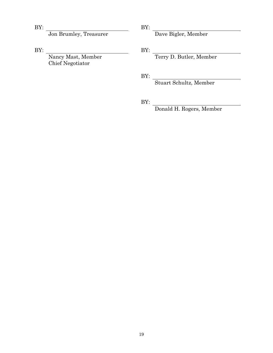Jon Brumley, Treasurer Dave Bigler, Member

BY: BY:

 Nancy Mast, Member Chief Negotiator

BY: BY:

BY: Terry D. Butler, Member

BY:

BY: Stuart Schultz, Member

BY:

Donald H. Rogers, Member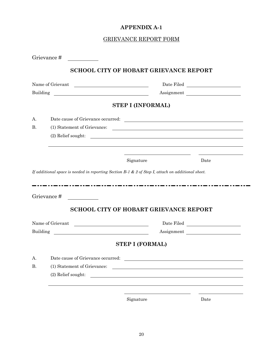#### **APPENDIX A-1**

#### GRIEVANCE REPORT FORM

|           | Name of Grievant                                                                                  |                                                                                                                                                                                                                                              | ${\it Date \: Filed \: \underline{\hspace{1.5cm}} \hspace{1.5cm} \underline{\hspace{1.5cm}} \hspace{1.5cm} }$             |
|-----------|---------------------------------------------------------------------------------------------------|----------------------------------------------------------------------------------------------------------------------------------------------------------------------------------------------------------------------------------------------|---------------------------------------------------------------------------------------------------------------------------|
| Building  | <u> 1980 - Andrea Stadt Britain, fransk politik (d. 1980)</u>                                     |                                                                                                                                                                                                                                              | Assignment                                                                                                                |
|           |                                                                                                   | <b>STEP I (INFORMAL)</b>                                                                                                                                                                                                                     |                                                                                                                           |
| A.        |                                                                                                   |                                                                                                                                                                                                                                              |                                                                                                                           |
| <b>B.</b> | Date cause of Grievance occurred:<br>(1) Statement of Grievance:                                  |                                                                                                                                                                                                                                              |                                                                                                                           |
|           | (2) Relief sought:                                                                                | <u> Alexandria de la contrada de la contrada de la contrada de la contrada de la contrada de la contrada de la c</u><br><u> Alexandria de la contrada de la contrada de la contrada de la contrada de la contrada de la contrada de la c</u> |                                                                                                                           |
|           |                                                                                                   |                                                                                                                                                                                                                                              |                                                                                                                           |
|           |                                                                                                   | Signature                                                                                                                                                                                                                                    | Date                                                                                                                      |
|           |                                                                                                   |                                                                                                                                                                                                                                              |                                                                                                                           |
|           | If additional space is needed in reporting Section B-1 & 2 of Step I, attach on additional sheet. |                                                                                                                                                                                                                                              |                                                                                                                           |
|           |                                                                                                   |                                                                                                                                                                                                                                              |                                                                                                                           |
|           | Grievance#                                                                                        |                                                                                                                                                                                                                                              |                                                                                                                           |
|           | <b>SCHOOL CITY OF HOBART GRIEVANCE REPORT</b>                                                     |                                                                                                                                                                                                                                              |                                                                                                                           |
|           | Name of Grievant<br><u> 1980 - Johann Barn, fransk politik (d. 1980)</u>                          |                                                                                                                                                                                                                                              |                                                                                                                           |
| Building  |                                                                                                   |                                                                                                                                                                                                                                              |                                                                                                                           |
|           |                                                                                                   | <b>STEP I (FORMAL)</b>                                                                                                                                                                                                                       | ${\it Date \: Filed \: \underline{\hspace{1.5cm}}\hspace{1.5cm} \underline{\hspace{1.5cm}}\hspace{1.5cm} }$<br>Assignment |
| А.        | Date cause of Grievance occurred:                                                                 |                                                                                                                                                                                                                                              |                                                                                                                           |
| <b>B.</b> | (1) Statement of Grievance:                                                                       | <u> 1989 - Andrea State Barbara, president e la provincia de la presidencia de la provincia de la provincia de la</u>                                                                                                                        |                                                                                                                           |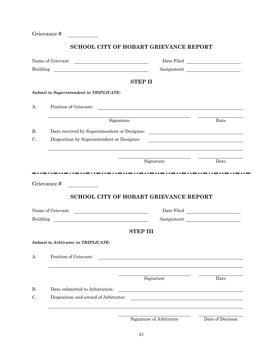Grievance #

#### **SCHOOL CITY OF HOBART GRIEVANCE REPORT**

|           | Name of Grievant<br><u> 1980 - Andrea Maria Alemania, prima prima prima prima prima prima prima prima prima prima prima prima prima p</u> |                                                                                                                       | ${\rm Date \; Filed} \quad \begin{tabular}{ c c } \hline \rule{0.3cm}{.4cm} \rule{0.3cm}{.4cm} \rule{0.3cm}{.4cm} \rule{0.3cm}{.4cm} \rule{0.3cm}{.4cm} \rule{0.3cm}{.4cm} \rule{0.3cm}{.4cm} \rule{0.3cm}{.4cm} \rule{0.3cm}{.4cm} \rule{0.3cm}{.4cm} \rule{0.3cm}{.4cm} \rule{0.3cm}{.4cm} \rule{0.3cm}{.4cm} \rule{0.3cm}{.4cm} \rule{0.3cm}{.4cm} \rule{0.3cm}{.4cm} \rule{$ |
|-----------|-------------------------------------------------------------------------------------------------------------------------------------------|-----------------------------------------------------------------------------------------------------------------------|----------------------------------------------------------------------------------------------------------------------------------------------------------------------------------------------------------------------------------------------------------------------------------------------------------------------------------------------------------------------------------|
| Building  |                                                                                                                                           |                                                                                                                       | Assignment                                                                                                                                                                                                                                                                                                                                                                       |
|           |                                                                                                                                           | <b>STEP II</b>                                                                                                        |                                                                                                                                                                                                                                                                                                                                                                                  |
|           | <b>Submit to Superintendent in TRIPLICATE:</b>                                                                                            |                                                                                                                       |                                                                                                                                                                                                                                                                                                                                                                                  |
| А.        | Position of Grievant:                                                                                                                     | <u> 1989 - Johann Harry Harry Harry Harry Harry Harry Harry Harry Harry Harry Harry Harry Harry Harry Harry Harry</u> |                                                                                                                                                                                                                                                                                                                                                                                  |
|           | Signature                                                                                                                                 |                                                                                                                       | Date                                                                                                                                                                                                                                                                                                                                                                             |
| <b>B.</b> |                                                                                                                                           |                                                                                                                       |                                                                                                                                                                                                                                                                                                                                                                                  |
| C.        | Disposition by Superintendent or Designee:                                                                                                |                                                                                                                       |                                                                                                                                                                                                                                                                                                                                                                                  |
|           |                                                                                                                                           | Signature                                                                                                             | Date                                                                                                                                                                                                                                                                                                                                                                             |
|           |                                                                                                                                           |                                                                                                                       |                                                                                                                                                                                                                                                                                                                                                                                  |
|           | Grievance#                                                                                                                                | <b>SCHOOL CITY OF HOBART GRIEVANCE REPORT</b>                                                                         |                                                                                                                                                                                                                                                                                                                                                                                  |
|           | Name of Grievant                                                                                                                          |                                                                                                                       | ${\small \textbf{Date Field}} \begin{tabular}{c} \textbf{\textcolor{red}{\bf{2.5}}\end{tabular}}$                                                                                                                                                                                                                                                                                |
|           |                                                                                                                                           |                                                                                                                       | Assignment                                                                                                                                                                                                                                                                                                                                                                       |
|           |                                                                                                                                           | <b>STEP III</b>                                                                                                       |                                                                                                                                                                                                                                                                                                                                                                                  |
| Building  | <b>Submit to Arbitrator in TRIPLICATE:</b>                                                                                                |                                                                                                                       |                                                                                                                                                                                                                                                                                                                                                                                  |
|           | A. Position of Grievant:                                                                                                                  |                                                                                                                       |                                                                                                                                                                                                                                                                                                                                                                                  |
|           |                                                                                                                                           | Signature                                                                                                             | Date                                                                                                                                                                                                                                                                                                                                                                             |
| <b>B.</b> | Date submitted to Arbitration:                                                                                                            | <u> 1988 - Johann Stoff, fransk politik (f. 1988)</u>                                                                 |                                                                                                                                                                                                                                                                                                                                                                                  |
| C.        | Disposition and award of Arbitrator:                                                                                                      |                                                                                                                       |                                                                                                                                                                                                                                                                                                                                                                                  |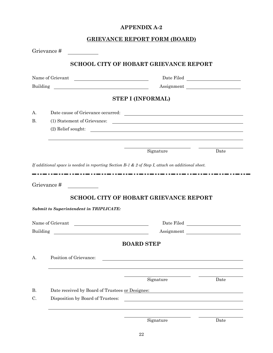#### **APPENDIX A-2**

### **GRIEVANCE REPORT FORM (BOARD)**

|                 | Grievance#                                                                           |                                                                                                                      |      |
|-----------------|--------------------------------------------------------------------------------------|----------------------------------------------------------------------------------------------------------------------|------|
|                 |                                                                                      | <b>SCHOOL CITY OF HOBART GRIEVANCE REPORT</b>                                                                        |      |
|                 | Name of Grievant                                                                     |                                                                                                                      |      |
| Building        |                                                                                      | Assignment                                                                                                           |      |
|                 |                                                                                      | <b>STEP I (INFORMAL)</b>                                                                                             |      |
| $A_{\cdot}$     |                                                                                      |                                                                                                                      |      |
| <b>B.</b>       | (1) Statement of Grievance:                                                          |                                                                                                                      |      |
|                 | (2) Relief sought:                                                                   | <u> Alexandria de la contrada de la contrada de la contrada de la contrada de la contrada de la contrada de la c</u> |      |
|                 |                                                                                      | Signature                                                                                                            | Date |
|                 | <b>Submit to Superintendent in TRIPLICATE:</b>                                       | <b>SCHOOL CITY OF HOBART GRIEVANCE REPORT</b>                                                                        |      |
|                 | Name of Grievant                                                                     | ${\it Date \: Filed \: \underline{\hspace{1.5cm}}\hspace{1.5cm} \underline{\hspace{1.5cm}}\hspace{1.5cm} }$          |      |
| Building        | <u> 1980 - Johann Barn, fransk politik fotograf (d. 1980)</u>                        | Assignment                                                                                                           |      |
|                 |                                                                                      |                                                                                                                      |      |
|                 |                                                                                      | <b>BOARD STEP</b>                                                                                                    |      |
| A.              | Position of Grievance:                                                               |                                                                                                                      |      |
|                 |                                                                                      | Signature                                                                                                            | Date |
|                 |                                                                                      |                                                                                                                      |      |
| <b>B.</b><br>C. | Date received by Board of Trustees or Designee:<br>Disposition by Board of Trustees: |                                                                                                                      |      |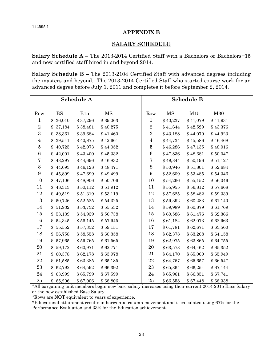#### **APPENDIX B**

#### **SALARY SCHEDULE**

**Salary Schedule A** – The 2013-2014 Certified Staff with a Bachelors or Bachelors+15 and new certified staff hired in and beyond 2014.

**Salary Schedule B** – The 2013-2104 Certified Staff with advanced degrees including the masters and beyond. The 2013-2014 Certified Staff who started course work for an advanced degree before July 1, 2011 and completes it before September 2, 2014.

|                  | Schedule A<br><b>Schedule B</b> |          |          |                         |          |          |          |
|------------------|---------------------------------|----------|----------|-------------------------|----------|----------|----------|
| Row              | <b>BS</b>                       | B15      | MS       | Row                     | MS       | M15      | M30      |
| 1                | 36,010<br>\$                    | \$37,296 | \$39,063 | $\mathbf{1}$            | \$40,237 | \$41,079 | \$41,931 |
| $\overline{2}$   | 37,184<br>\$                    | \$38,481 | \$40,275 | $\overline{\mathbf{2}}$ | \$41,644 | \$42,529 | \$43,376 |
| $\boldsymbol{3}$ | \$<br>38,361                    | \$39,684 | \$41,460 | $\boldsymbol{3}$        | \$43,188 | \$44,070 | \$44,923 |
| 4                | \$<br>39,541                    | \$40,875 | \$42,661 | $\overline{\mathbf{4}}$ | \$44,734 | \$45,586 | \$46,468 |
| 5                | 40,725<br>\$                    | \$42,073 | \$44,052 | $\bf 5$                 | \$46,286 | \$47,135 | \$48,016 |
| $\,6\,$          | \$<br>42,001                    | \$43,400 | \$45,332 | $\boldsymbol{6}$        | \$47,836 | \$48,681 | \$50,047 |
| 7                | \$<br>43,297                    | \$44,696 | \$46,832 | 7                       | \$49,344 | \$50,196 | \$51,127 |
| $8\,$            | \$<br>44,693                    | \$46,128 | \$48,471 | $8\,$                   | \$50,946 | \$51,801 | \$52,684 |
| $9\,$            | \$<br>45,899                    | \$47,699 | \$49,499 | $\boldsymbol{9}$        | \$52,609 | \$53,485 | \$54,346 |
| 10               | \$<br>47,106                    | \$48,906 | \$50,706 | 10                      | \$54,266 | \$55,152 | \$56,046 |
| 11               | 48,313<br>\$                    | \$50,112 | \$51,912 | 11                      | \$55,955 | \$56,812 | \$57,668 |
| 12               | \$<br>49,519                    | \$51,319 | \$53,119 | 12                      | \$57,625 | \$58,482 | \$59,339 |
| 13               | 50,726                          | \$52,525 | \$54,325 | 13                      | \$59,392 | \$60,283 | \$61,140 |
| 14               | 51,932<br>\$                    | \$53,732 | \$55,532 | 14                      | \$59,989 | \$60,879 | \$61,769 |
| 15               | 53,139<br>\$                    | \$54,939 | \$56,738 | 15                      | \$60,586 | \$61,476 | \$62,366 |
| 16               | \$<br>54,345                    | \$56,145 | \$57,945 | 16                      | \$61,184 | \$62,073 | \$62,963 |
| 17               | \$<br>55,552                    | \$57,352 | \$59,151 | 17                      | \$61,781 | \$62,671 | \$63,560 |
| 18               | \$<br>56,758                    | \$58,558 | \$60,358 | 18                      | \$62,378 | \$63,268 | \$64,158 |
| 19               | \$<br>57,965                    | \$59,765 | \$61,565 | 19                      | \$62,975 | \$63,865 | \$64,755 |
| $20\,$           | \$<br>59,172                    | \$60,971 | \$62,771 | 20                      | \$63,573 | \$64,462 | \$65,352 |
| 21               | \$<br>60,378                    | \$62,178 | \$63,978 | 21                      | \$64,170 | \$65,060 | \$65,949 |
| $\bf{22}$        | \$<br>61,585                    | \$63,385 | \$65,185 | 22                      | \$64,767 | \$65,657 | \$66,547 |
| 23               | \$<br>62,792                    | \$64,592 | \$66,392 | 23                      | \$65,364 | \$66,254 | \$67,144 |
| $\bf{24}$        | \$<br>63,999                    | \$65,799 | \$67,599 | 24                      | \$65,961 | \$66,851 | \$67,741 |
| 25               | \$65,206                        | \$67,006 | \$68,806 | 25                      | \$66,558 | \$67,448 | \$68,338 |

\*All bargaining unit members begin new base salary increases using their current 2014-2015 Base Salary or the new established Base Salary.

\*Rows are **NOT** equivalent to years of experience.

\*Educational attainment results in horizontal column movement and is calculated using 67% for the Performance Evaluation and 33% for the Education achievement.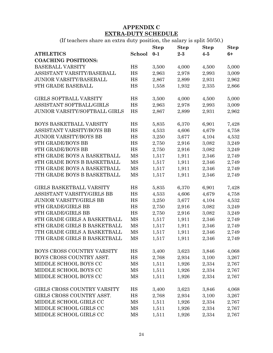#### **APPENDIX C EXTRA-DUTY SCHEDULE**

(If teachers share an extra duty position, the salary is split 50/50.)

|                                 |        | <b>Step</b> | <b>Step</b> | <b>Step</b> | <b>Step</b> |
|---------------------------------|--------|-------------|-------------|-------------|-------------|
| <b>ATHLETICS</b>                | School | $0-1$       | $2-3$       | $4-5$       | $6+$        |
| <b>COACHING POSITIONS:</b>      |        |             |             |             |             |
| <b>BASEBALL VARSITY</b>         | HS     | 3,500       | 4,000       | 4,500       | 5,000       |
| ASSISTANT VARSITY/BASEBALL      | HS     | 2,963       | 2,978       | 2,993       | 3,009       |
| <b>JUNIOR VARSITY/BASEBALL</b>  | HS     | 2,867       | 2,899       | 2,931       | 2,962       |
| 9TH GRADE BASEBALL              | HS     | 1,558       | 1,932       | 2,335       | 2,866       |
| <b>GIRLS SOFTBALL VARSITY</b>   | HS     | 3,500       | 4,000       | 4,500       | 5,000       |
| ASSISTANT SOFTBALL/GIRLS        | HS     | 2,963       | 2,978       | 2,993       | 3,009       |
| JUNIOR VARSITY/SOFTBALL GIRLS   | HS     | 2,867       | 2,899       | 2,931       | 2,962       |
| BOYS BASKETBALL VARSITY         | HS     | 5,835       | 6,370       | 6,901       | 7,428       |
| ASSISTANT VARSITY/BOYS BB       | HS     | 4,533       | 4,606       | 4,679       | 4,758       |
| <b>JUNIOR VARSITY/BOYS BB</b>   | HS     | 3,250       | 3,677       | 4,104       | 4,532       |
| 9TH GRADE/BOYS BB               | HS     | 2,750       | 2,916       | 3,082       | 3,249       |
| 9TH GRADE/BOYS BB               | HS     | 2,750       | 2,916       | 3,082       | 3,249       |
| 8TH GRADE BOYS A BASKETBALL     | MS     | 1,517       | 1,911       | 2,346       | 2,749       |
| 8TH GRADE BOYS B BASKETBALL     | MS     | 1,517       | 1,911       | 2,346       | 2,749       |
| 7TH GRADE BOYS A BASKETBALL     | MS     | 1,517       | 1,911       | 2,346       | 2,749       |
| 7TH GRADE BOYS B BASKETBALL     | MS     | 1,517       | 1,911       | 2,346       | 2,749       |
| <b>GIRLS BASKETBALL VARSITY</b> | HS     | 5,835       | 6,370       | 6,901       | 7,428       |
| ASSISTANT VARSITY/GIRLS BB      | HS     | 4,533       | 4,606       | 4,679       | 4,758       |
| <b>JUNIOR VARSITY/GIRLS BB</b>  | HS     | 3,250       | 3,677       | 4,104       | 4,532       |
| 9TH GRADE/GIRLS BB              | HS     | 2,750       | 2,916       | 3,082       | 3,249       |
| 9TH GRADE/GIRLS BB              | HS     | 2,750       | 2,916       | 3,082       | 3,249       |
| 8TH GRADE GIRLS A BASKETBALL    | MS     | 1,517       | 1,911       | 2,346       | 2,749       |
| 8TH GRADE GIRLS B BASKETBALL    | MS     | 1,517       | 1,911       | 2,346       | 2,749       |
| 7TH GRADE GIRLS A BASKETBALL    | MS     | 1,517       | 1,911       | 2,346       | 2,749       |
| 7TH GRADE GIRLS B BASKETBALL    | MS     | 1,517       | 1,911       | 2,346       | 2,749       |
| BOYS CROSS COUNTRY VARSITY      | HS     | 3,400       | 3,623       | 3,846       | 4,068       |
| BOYS CROSS COUNTRY ASST.        | HS     | 2,768       | 2,934       | 3,100       | 3,267       |
| MIDDLE SCHOOL BOYS CC           | MS     | 1,511       | 1,926       | 2,334       | 2,767       |
| MIDDLE SCHOOL BOYS CC           | MS     | 1,511       | 1,926       | 2,334       | 2,767       |
| MIDDLE SCHOOL BOYS CC           | MS     | 1,511       | 1,926       | 2,334       | 2,767       |
| GIRLS CROSS COUNTRY VARSITY     | HS     | 3,400       | 3,623       | 3,846       | 4,068       |
| GIRLS CROSS COUNTRY ASST.       | HS     | 2,768       | 2,934       | 3,100       | 3,267       |
| MIDDLE SCHOOL GIRLS CC          | MS     | 1,511       | 1,926       | 2,334       | 2,767       |
| MIDDLE SCHOOL GIRLS CC          | MS     | 1,511       | 1,926       | 2,334       | 2,767       |
| MIDDLE SCHOOL GIRLS CC          | MS     | 1,511       | 1,926       | 2,334       | 2,767       |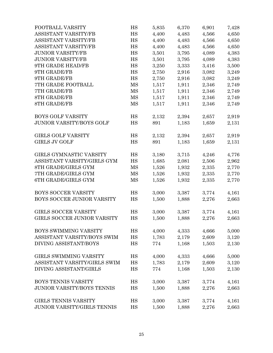| FOOTBALL VARSITY                   | HS        | 5,835 | 6,370 | 6,901 | 7,428 |
|------------------------------------|-----------|-------|-------|-------|-------|
| ASSISTANT VARSITY/FB               | HS        | 4,400 | 4,483 | 4,566 | 4,650 |
| ASSISTANT VARSITY/FB               | HS        | 4,400 | 4,483 | 4,566 | 4,650 |
| ASSISTANT VARSITY/FB               | HS        | 4,400 | 4,483 | 4,566 | 4,650 |
| <b>JUNIOR VARSITY/FB</b>           | HS        | 3,501 | 3,795 | 4,089 | 4,383 |
| <b>JUNIOR VARSITY/FB</b>           | HS        | 3,501 | 3,795 | 4,089 | 4,383 |
| 9TH GRADE HEAD/FB                  | HS        | 3,250 | 3,333 | 3,416 | 3,500 |
| 9TH GRADE/FB                       | HS        | 2,750 | 2,916 | 3,082 | 3,249 |
| 9TH GRADE/FB                       | HS        | 2,750 | 2,916 | 3,082 | 3,249 |
| 7TH GRADE FOOTBALL                 | MS        | 1,517 | 1,911 | 2,346 | 2,749 |
| <b>7TH GRADE/FB</b>                | MS        | 1,517 | 1,911 | 2,346 | 2,749 |
| <b>8TH GRADE/FB</b>                | MS        | 1,517 | 1,911 | 2,346 | 2,749 |
| <b>8TH GRADE/FB</b>                | MS        | 1,517 | 1,911 | 2,346 | 2,749 |
| <b>BOYS GOLF VARSITY</b>           | HS        | 2,132 | 2,394 | 2,657 | 2,919 |
| <b>JUNIOR VARSITY/BOYS GOLF</b>    | HS        | 891   | 1,183 | 1,659 | 2,131 |
| <b>GIRLS GOLF VARSITY</b>          | HS        | 2,132 | 2,394 | 2,657 | 2,919 |
| <b>GIRLS JV GOLF</b>               | HS        | 891   | 1,183 | 1,659 | 2,131 |
| GIRLS GYMNASTIC VARSITY            | HS        | 3,180 | 3,715 | 4,246 | 4,776 |
| ASSISTANT VARSITY/GIRLS GYM        | HS        | 1,685 | 2,081 | 2,506 | 2,962 |
| 8TH GRADE/GIRLS GYM                | MS        | 1,526 | 1,932 | 2,335 | 2,770 |
| 7TH GRADE/GIRLS GYM                | MS        | 1,526 | 1,932 | 2,335 | 2,770 |
| <b>6TH GRADE/GIRLS GYM</b>         | MS        | 1,526 | 1,932 | 2,335 | 2,770 |
| <b>BOYS SOCCER VARSITY</b>         | HS        | 3,000 | 3,387 | 3,774 | 4,161 |
| BOYS SOCCER JUNIOR VARSITY         | HS        | 1,500 | 1,888 | 2,276 | 2,663 |
| <b>GIRLS SOCCER VARSITY</b>        | HS        | 3,000 | 3,387 | 3,774 | 4,161 |
| <b>GIRLS SOCCER JUNIOR VARSITY</b> | HS        | 1,500 | 1,888 | 2,276 | 2,663 |
| BOYS SWIMMING VARSITY              | HS        | 4,000 | 4,333 | 4,666 | 5,000 |
| ASSISTANT VARSITY/BOYS SWIM        | HS        | 1,783 | 2,179 | 2,609 | 3,120 |
| DIVING ASSISTANT/BOYS              | HS        | 774   | 1,168 | 1,503 | 2,130 |
| GIRLS SWIMMING VARSITY             | HS        | 4,000 | 4,333 | 4,666 | 5,000 |
| ASSISTANT VARSITY/GIRLS SWIM       | HS        | 1,783 | 2,179 | 2,609 | 3,120 |
| DIVING ASSISTANT/GIRLS             | HS        | 774   | 1,168 | 1,503 | 2,130 |
| <b>BOYS TENNIS VARSITY</b>         | HS        | 3,000 | 3,387 | 3,774 | 4,161 |
| JUNIOR VARSITY/BOYS TENNIS         | HS        | 1,500 | 1,888 | 2,276 | 2,663 |
| GIRLS TENNIS VARSITY               | HS        | 3,000 | 3,387 | 3,774 | 4,161 |
| JUNIOR VARSITY/GIRLS TENNIS        | <b>HS</b> | 1,500 | 1,888 | 2,276 | 2,663 |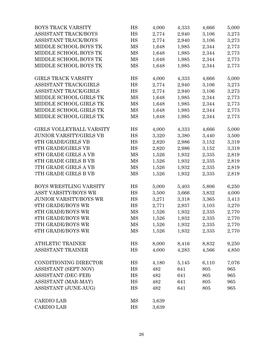| BOYS TRACK VARSITY             | HS       | 4,000 | 4,333 | 4,666 | 5,000 |
|--------------------------------|----------|-------|-------|-------|-------|
| ASSISTANT TRACK/BOYS           | HS       | 2,774 | 2,940 | 3,106 | 3,273 |
| ASSISTANT TRACK/BOYS           | HS       | 2,774 | 2,940 | 3,106 | 3,273 |
| MIDDLE SCHOOL BOYS TK          | MS       | 1,648 | 1,985 | 2,344 | 2,773 |
| MIDDLE SCHOOL BOYS TK          | MS       | 1,648 | 1,985 | 2,344 | 2,773 |
| MIDDLE SCHOOL BOYS TK          | MS       | 1,648 | 1,985 | 2,344 | 2,773 |
| MIDDLE SCHOOL BOYS TK          | MS       | 1,648 | 1,985 | 2,344 | 2,773 |
| <b>GIRLS TRACK VARSITY</b>     | HS       | 4,000 | 4,333 | 4,666 | 5,000 |
| ASSISTANT TRACK/GIRLS          | HS       | 2,774 | 2,940 | 3,106 | 3,273 |
| ASSISTANT TRACK/GIRLS          | HS       | 2,774 | 2,940 | 3,106 | 3,273 |
| MIDDLE SCHOOL GIRLS TK         | MS       | 1,648 | 1,985 | 2,344 | 2,773 |
| MIDDLE SCHOOL GIRLS TK         | MS       | 1,648 | 1,985 | 2,344 | 2,773 |
| MIDDLE SCHOOL GIRLS TK         | MS       | 1,648 | 1,985 | 2,344 | 2,773 |
| MIDDLE SCHOOL GIRLS TK         | MS       | 1,648 | 1,985 | 2,344 | 2,773 |
| GIRLS VOLLEYBALL VARSITY       | HS       | 4,000 | 4,333 | 4,666 | 5,000 |
| <b>JUNIOR VARSITY/GIRLS VB</b> | HS       | 3,320 | 3,380 | 3,440 | 3,500 |
| 9TH GRADE/GIRLS VB             | HS       | 2,820 | 2,986 | 3,152 | 3,319 |
| 9TH GRADE/GIRLS VB             | $\rm HS$ | 2,820 | 2,986 | 3,152 | 3,319 |
| 8TH GRADE GIRLS A VB           | MS       | 1,526 | 1,932 | 2,335 | 2,819 |
| 8TH GRADE GIRLS B VB           | MS       | 1,526 | 1,932 | 2,335 | 2,819 |
| 7TH GRADE GIRLS A VB           | MS       | 1,526 | 1,932 | 2,335 | 2,819 |
| 7TH GRADE GIRLS B VB           | MS       | 1,526 | 1,932 | 2,335 | 2,819 |
| BOYS WRESTLING VARSITY         | HS       | 5,000 | 5,403 | 5,806 | 6,250 |
| ASST VARSITY/BOYS WR           | HS       | 3,500 | 3,666 | 3,832 | 4,000 |
| <b>JUNIOR VARSITY/BOYS WR</b>  | HS       | 3,271 | 3,318 | 3,365 | 3,413 |
| 9TH GRADE/BOYS WR              | HS       | 2,771 | 2,937 | 3,103 | 3,270 |
| <b>8TH GRADE/BOYS WR</b>       | MS       | 1,526 | 1,932 | 2,335 | 2,770 |
| <b>8TH GRADE/BOYS WR</b>       | MS       | 1,526 | 1,932 | 2,335 | 2,770 |
| 7TH GRADE/BOYS WR              | MS       | 1,526 | 1,932 | 2,335 | 2,770 |
| <b>6TH GRADE/BOYS WR</b>       | MS       | 1,526 | 1,932 | 2,335 | 2,770 |
| <b>ATHLETIC TRAINER</b>        | HS       | 8,000 | 8,416 | 8,832 | 9,250 |
| ASSISTANT TRAINER              | HS       | 4,000 | 4,283 | 4,566 | 4,850 |
| CONDITIONING DIRECTOR          | HS       | 4,180 | 5,145 | 6,110 | 7,076 |
| ASSISTANT (SEPT-NOV)           | HS       | 482   | 641   | 805   | 965   |
| <b>ASSISTANT (DEC-FEB)</b>     | HS       | 482   | 641   | 805   | 965   |
| ASSISTANT (MAR-MAY)            | HS       | 482   | 641   | 805   | 965   |
| ASSISTANT (JUNE-AUG)           | HS       | 482   | 641   | 805   | 965   |
| <b>CARDIO LAB</b>              | MS       | 3,639 |       |       |       |
| <b>CARDIO LAB</b>              | HS       | 3,639 |       |       |       |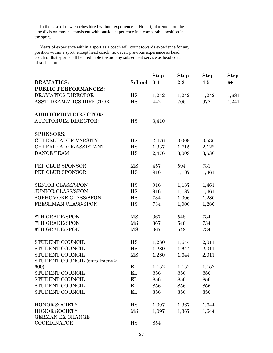In the case of new coaches hired without experience in Hobart, placement on the lane division may be consistent with outside experience in a comparable position in the sport.

 Years of experience within a sport as a coach will count towards experience for any position within a sport, except head coach; however, previous experience as head coach of that sport shall be creditable toward any subsequent service as head coach of such sport.

|                               |           | <b>Step</b> | <b>Step</b> | <b>Step</b> | <b>Step</b> |
|-------------------------------|-----------|-------------|-------------|-------------|-------------|
| <b>DRAMATICS:</b>             | School    | $0-1$       | $2 - 3$     | $4-5$       | $6+$        |
| <b>PUBLIC PERFORMANCES:</b>   |           |             |             |             |             |
| DRAMATICS DIRECTOR            | HS        | 1,242       | 1,242       | 1,242       | 1,681       |
| ASST. DRAMATICS DIRECTOR      | <b>HS</b> | 442         | 705         | 972         | 1,241       |
| <b>AUDITORIUM DIRECTOR:</b>   |           |             |             |             |             |
| <b>AUDITORUIM DIRECTOR:</b>   | HS        | 3,410       |             |             |             |
| <b>SPONSORS:</b>              |           |             |             |             |             |
| CHEERLEADER-VARSITY           | HS        | 2,476       | 3,009       | 3,536       |             |
| CHEERLEADER-ASSISTANT         | HS        | 1,337       | 1,715       | 2,122       |             |
| DANCE TEAM                    | HS        | 2,476       | 3,009       | 3,536       |             |
| PEP CLUB SPONSOR              | MS        | 457         | 594         | 731         |             |
| PEP CLUB SPONSOR              | <b>HS</b> | 916         | 1,187       | 1,461       |             |
| SENIOR CLASS/SPON             | HS        | 916         | 1,187       | 1,461       |             |
| <b>JUNIOR CLASS/SPON</b>      | HS        | 916         | 1,187       | 1,461       |             |
| SOPHOMORE CLASS/SPON          | HS        | 734         | 1,006       | 1,280       |             |
| FRESHMAN CLASS/SPON           | HS        | 734         | 1,006       | 1,280       |             |
| <b>8TH GRADE/SPON</b>         | MS        | 367         | 548         | 734         |             |
| 7TH GRADE/SPON                | MS        | 367         | 548         | 734         |             |
| <b>6TH GRADE/SPON</b>         | MS        | 367         | 548         | 734         |             |
| STUDENT COUNCIL               | HS        | 1,280       | 1,644       | 2,011       |             |
| STUDENT COUNCIL               | HS        | 1,280       | 1,644       | 2,011       |             |
| STUDENT COUNCIL               | MS        | 1,280       | 1,644       | 2,011       |             |
| STUDENT COUNCIL (enrollment > |           |             |             |             |             |
| 600)                          | EL        | 1,152       | 1,152       | 1,152       |             |
| STUDENT COUNCIL               | EL        | 856         | 856         | 856         |             |
| STUDENT COUNCIL               | ЕL        | 856         | 856         | 856         |             |
| STUDENT COUNCIL               | EL        | 856         | 856         | 856         |             |
| STUDENT COUNCIL               | EL        | 856         | 856         | 856         |             |
| <b>HONOR SOCIETY</b>          | HS        | 1,097       | 1,367       | 1,644       |             |
| <b>HONOR SOCIETY</b>          | MS        | 1,097       | 1,367       | 1,644       |             |
| GERMAN EX CHANGE              |           |             |             |             |             |
| <b>COORDINATOR</b>            | HS        | 854         |             |             |             |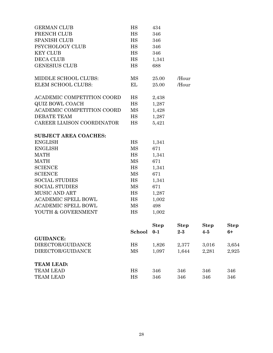| <b>GUIDANCE:</b>                                     |             |                        |                        |                      |                     |
|------------------------------------------------------|-------------|------------------------|------------------------|----------------------|---------------------|
|                                                      | School      | <b>Step</b><br>$0 - 1$ | <b>Step</b><br>$2 - 3$ | <b>Step</b><br>$4-5$ | <b>Step</b><br>$6+$ |
|                                                      |             |                        |                        |                      |                     |
| YOUTH & GOVERNMENT                                   | HS          | 1,002                  |                        |                      |                     |
| <b>ACADEMIC SPELL BOWL</b>                           | <b>MS</b>   | 498                    |                        |                      |                     |
| <b>ACADEMIC SPELL BOWL</b>                           | HS          | 1,002                  |                        |                      |                     |
| <b>MUSIC AND ART</b>                                 | <b>HS</b>   | 1,287                  |                        |                      |                     |
| <b>SOCIAL STUDIES</b>                                | <b>MS</b>   | 671                    |                        |                      |                     |
| <b>SOCIAL STUDIES</b>                                | <b>HS</b>   | 1,341                  |                        |                      |                     |
| <b>SCIENCE</b>                                       | MS          | 671                    |                        |                      |                     |
| <b>SCIENCE</b>                                       | <b>HS</b>   | 1,341                  |                        |                      |                     |
| <b>MATH</b>                                          | MS          | 671                    |                        |                      |                     |
| <b>MATH</b>                                          | HS          | 1,341                  |                        |                      |                     |
| <b>ENGLISH</b>                                       | MS          | 671                    |                        |                      |                     |
| <b>ENGLISH</b>                                       | $_{\rm HS}$ | 1,341                  |                        |                      |                     |
| <b>SUBJECT AREA COACHES:</b>                         |             |                        |                        |                      |                     |
|                                                      |             |                        |                        |                      |                     |
| CAREER LIAISON COORDINATOR                           | <b>HS</b>   | 5,421                  |                        |                      |                     |
| <b>DEBATE TEAM</b>                                   | HS          | 1,428<br>1,287         |                        |                      |                     |
| ACADEMIC COMPETITION COORD                           | MS          | 1,287                  |                        |                      |                     |
| ACADEMIC COMPETITION COORD<br><b>QUIZ BOWL COACH</b> | HS<br>HS    | 2,438                  |                        |                      |                     |
|                                                      |             |                        |                        |                      |                     |
| <b>ELEM SCHOOL CLUBS:</b>                            | EL          | 25.00                  | /Hour                  |                      |                     |
| MIDDLE SCHOOL CLUBS:                                 | MS          | 25.00                  | /Hour                  |                      |                     |
| <b>GENESIUS CLUB</b>                                 | HS          | 688                    |                        |                      |                     |
| DECA CLUB                                            | HS          | 1,341                  |                        |                      |                     |
| <b>KEY CLUB</b>                                      | HS          | 346                    |                        |                      |                     |
| PSYCHOLOGY CLUB                                      | HS          | 346                    |                        |                      |                     |
| <b>SPANISH CLUB</b>                                  | <b>HS</b>   | 346                    |                        |                      |                     |
| FRENCH CLUB                                          | <b>HS</b>   | 346                    |                        |                      |                     |
| <b>GERMAN CLUB</b>                                   | HS          | 434                    |                        |                      |                     |

|                   | <b>5CHOOL</b> V-1 |       | ∠-റ   | $4 - i$ | nт    |
|-------------------|-------------------|-------|-------|---------|-------|
| <b>GUIDANCE:</b>  |                   |       |       |         |       |
| DIRECTOR/GUIDANCE | HS                | 1,826 | 2,377 | 3.016   | 3,654 |
| DIRECTOR/GUIDANCE | MS                | 1,097 | 1,644 | 2,281   | 2,925 |
|                   |                   |       |       |         |       |
| <b>TEAM LEAD:</b> |                   |       |       |         |       |
| <b>TEAM LEAD</b>  | ΗS                | 346   | 346   | 346     | 346   |
| <b>TEAM LEAD</b>  | HS                | 346   | 346   | 346     | 346   |
|                   |                   |       |       |         |       |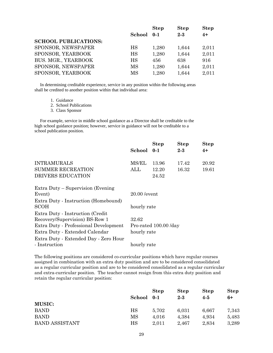|                             |           | <b>Step</b> | <b>Step</b> | <b>Step</b> |
|-----------------------------|-----------|-------------|-------------|-------------|
|                             | School    | $0 - 1$     | $2 - 3$     | $4+$        |
| <b>SCHOOL PUBLICATIONS:</b> |           |             |             |             |
| SPONSOR, NEWSPAPER          | HS        | 1,280       | 1,644       | 2,011       |
| SPONSOR, YEARBOOK           | HS        | 1,280       | 1,644       | 2,011       |
| BUS. MGR., YEARBOOK         | <b>HS</b> | 456         | 638         | 916         |
| SPONSOR, NEWSPAPER          | MS        | 1,280       | 1,644       | 2,011       |
| SPONSOR, YEARBOOK           | MS        | 1,280       | 1,644       | 2,011       |

 In determining creditable experience, service in any position within the following areas shall be credited to another position within that individual area:

- 1. Guidance
- 2. School Publications
- 3. Class Sponsor

 For example, service in middle school guidance as a Director shall be creditable to the high school guidance position; however, service in guidance will not be creditable to a school publication position.

|                                                | School 0-1    | <b>Step</b>    | <b>Step</b><br>$2 - 3$ | <b>Step</b><br>$4+$ |
|------------------------------------------------|---------------|----------------|------------------------|---------------------|
| <b>INTRAMURALS</b><br><b>SUMMER RECREATION</b> | MS/EL<br>ALL. | 13.96<br>12.20 | 17.42<br>16.32         | 20.92<br>19.61      |
| DRIVERS EDUCATION                              |               | 24.52          |                        |                     |

| $20.00$ /event        |
|-----------------------|
| hourly rate           |
|                       |
| 32.62                 |
| Pro-rated 100.00 /day |
| hourly rate           |
|                       |
| hourly rate           |
|                       |

The following positions are considered co-curricular positions which have regular courses assigned in combination with an extra duty position and are to be considered consolidated as a regular curricular position and are to be considered consolidated as a regular curricular and extra-curricular position. The teacher cannot resign from this extra duty position and retain the regular curricular position:

|                       | School | <b>Step</b><br>$0 - 1$ | <b>Step</b><br>$2 - 3$ | <b>Step</b><br>$4 - 5$ | <b>Step</b><br>6+ |
|-----------------------|--------|------------------------|------------------------|------------------------|-------------------|
| <b>MUSIC:</b>         |        |                        |                        |                        |                   |
| <b>BAND</b>           | HS     | 5,702                  | 6,031                  | 6,667                  | 7,343             |
| <b>BAND</b>           | MS     | 4,016                  | 4,384                  | 4,934                  | 5,483             |
| <b>BAND ASSISTANT</b> | HS     | 2,011                  | 2,467                  | 2,834                  | 3,289             |